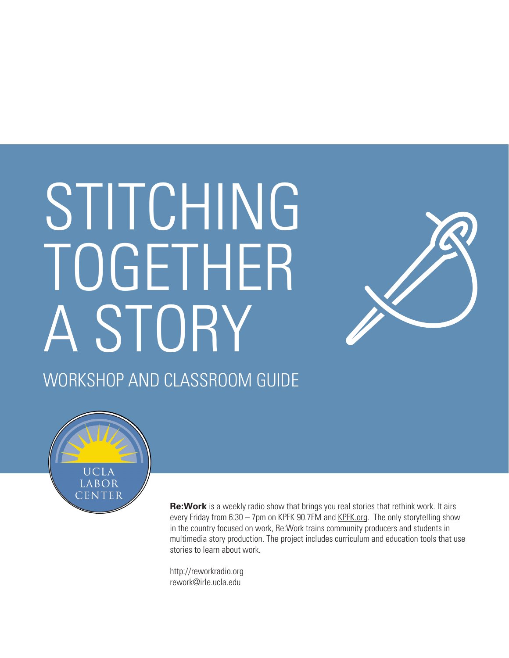# STITCHING TOGETHER A STORY WORKSHOP AND CLASSROOM GUIDE



UCLA LABOR CENTER

> **Re:Work** is a weekly radio show that brings you real stories that rethink work. It airs every Friday from 6:30 – 7pm on KPFK 90.7FM and KPFK.org. The only storytelling show in the country focused on work, Re:Work trains community producers and students in multimedia story production. The project includes curriculum and education tools that use stories to learn about work.

http://reworkradio.org rework@irle.ucla.edu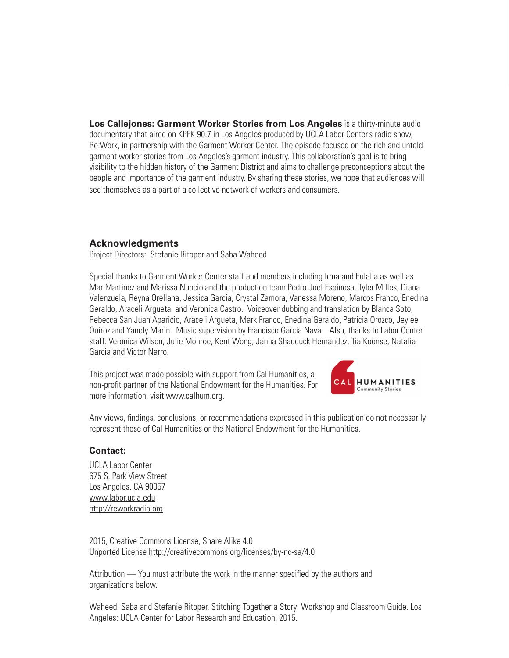**Los Callejones: Garment Worker Stories from Los Angeles** is a thirty-minute audio documentary that aired on KPFK 90.7 in Los Angeles produced by UCLA Labor Center's radio show, Re:Work, in partnership with the Garment Worker Center. The episode focused on the rich and untold garment worker stories from Los Angeles's garment industry. This collaboration's goal is to bring visibility to the hidden history of the Garment District and aims to challenge preconceptions about the people and importance of the garment industry. By sharing these stories, we hope that audiences will see themselves as a part of a collective network of workers and consumers.

#### **Acknowledgments**

Project Directors: Stefanie Ritoper and Saba Waheed

Special thanks to Garment Worker Center staff and members including Irma and Eulalia as well as Mar Martinez and Marissa Nuncio and the production team Pedro Joel Espinosa, Tyler Milles, Diana Valenzuela, Reyna Orellana, Jessica Garcia, Crystal Zamora, Vanessa Moreno, Marcos Franco, Enedina Geraldo, Araceli Argueta and Veronica Castro. Voiceover dubbing and translation by Blanca Soto, Rebecca San Juan Aparicio, Araceli Argueta, Mark Franco, Enedina Geraldo, Patricia Orozco, Jeylee Quiroz and Yanely Marin. Music supervision by Francisco Garcia Nava. Also, thanks to Labor Center staff: Veronica Wilson, Julie Monroe, Kent Wong, Janna Shadduck Hernandez, Tia Koonse, Natalia Garcia and Victor Narro.

This project was made possible with support from Cal Humanities, a non-profit partner of the National Endowment for the Humanities. For more information, visit www.calhum.org.



Any views, findings, conclusions, or recommendations expressed in this publication do not necessarily represent those of Cal Humanities or the National Endowment for the Humanities.

#### **Contact:**

UCLA Labor Center 675 S. Park View Street Los Angeles, CA 90057 www.labor.ucla.edu http://reworkradio.org

2015, Creative Commons License, Share Alike 4.0 Unported License http://creativecommons.org/licenses/by-nc-sa/4.0

Attribution — You must attribute the work in the manner specified by the authors and organizations below.

Waheed, Saba and Stefanie Ritoper. Stitching Together a Story: Workshop and Classroom Guide. Los Angeles: UCLA Center for Labor Research and Education, 2015.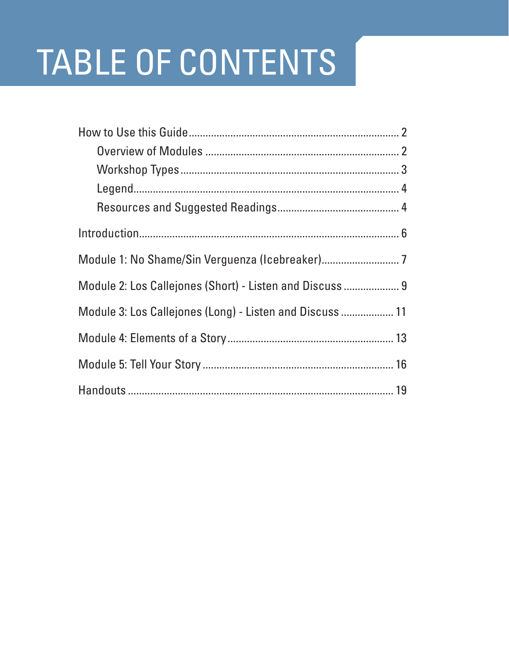# **TABLE OF CONTENTS**

| Module 2: Los Callejones (Short) - Listen and Discuss  9 |
|----------------------------------------------------------|
| Module 3: Los Callejones (Long) - Listen and Discuss  11 |
|                                                          |
|                                                          |
|                                                          |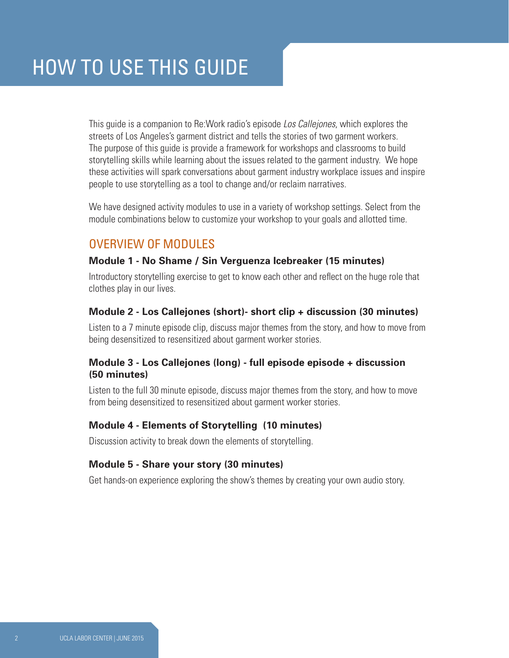This guide is a companion to Re:Work radio's episode *Los Callejones*, which explores the streets of Los Angeles's garment district and tells the stories of two garment workers. The purpose of this guide is provide a framework for workshops and classrooms to build storytelling skills while learning about the issues related to the garment industry. We hope these activities will spark conversations about garment industry workplace issues and inspire people to use storytelling as a tool to change and/or reclaim narratives.

We have designed activity modules to use in a variety of workshop settings. Select from the module combinations below to customize your workshop to your goals and allotted time.

#### OVERVIEW OF MODULES

#### **Module 1 - No Shame / Sin Verguenza Icebreaker (15 minutes)**

Introductory storytelling exercise to get to know each other and reflect on the huge role that clothes play in our lives.

#### **Module 2 - Los Callejones (short)- short clip + discussion (30 minutes)**

Listen to a 7 minute episode clip, discuss major themes from the story, and how to move from being desensitized to resensitized about garment worker stories.

#### **Module 3 - Los Callejones (long) - full episode episode + discussion (50 minutes)**

Listen to the full 30 minute episode, discuss major themes from the story, and how to move from being desensitized to resensitized about garment worker stories.

#### **Module 4 - Elements of Storytelling (10 minutes)**

Discussion activity to break down the elements of storytelling.

#### **Module 5 - Share your story (30 minutes)**

Get hands-on experience exploring the show's themes by creating your own audio story.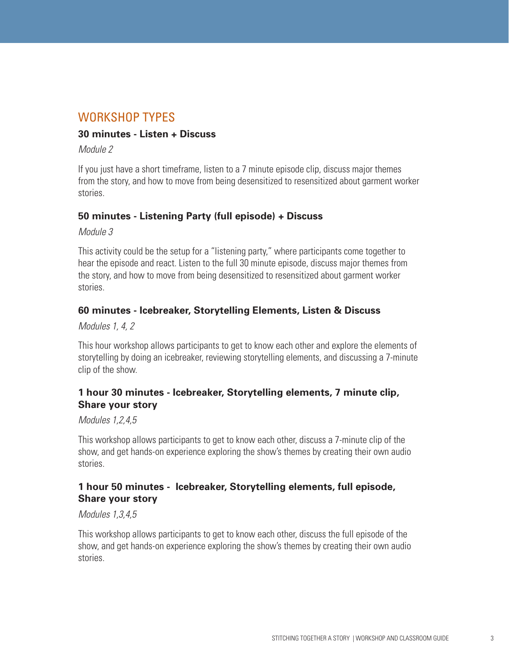#### WORKSHOP TYPES

#### **30 minutes - Listen + Discuss**

#### *Module 2*

If you just have a short timeframe, listen to a 7 minute episode clip, discuss major themes from the story, and how to move from being desensitized to resensitized about garment worker stories.

#### **50 minutes - Listening Party (full episode) + Discuss**

#### *Module 3*

This activity could be the setup for a "listening party," where participants come together to hear the episode and react. Listen to the full 30 minute episode, discuss major themes from the story, and how to move from being desensitized to resensitized about garment worker stories.

#### **60 minutes - Icebreaker, Storytelling Elements, Listen & Discuss**

*Modules 1, 4, 2*

This hour workshop allows participants to get to know each other and explore the elements of storytelling by doing an icebreaker, reviewing storytelling elements, and discussing a 7-minute clip of the show.

#### **1 hour 30 minutes - Icebreaker, Storytelling elements, 7 minute clip, Share your story**

#### *Modules 1,2,4,5*

This workshop allows participants to get to know each other, discuss a 7-minute clip of the show, and get hands-on experience exploring the show's themes by creating their own audio stories.

#### **1 hour 50 minutes - Icebreaker, Storytelling elements, full episode, Share your story**

#### *Modules 1,3,4,5*

This workshop allows participants to get to know each other, discuss the full episode of the show, and get hands-on experience exploring the show's themes by creating their own audio stories.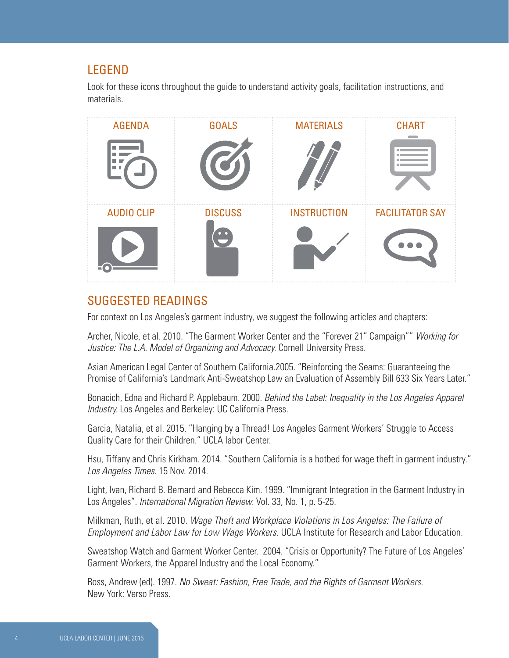#### LEGEND

Look for these icons throughout the guide to understand activity goals, facilitation instructions, and materials.

| <b>AGENDA</b>     | <b>GOALS</b>   | <b>MATERIALS</b>   | <b>CHART</b>           |
|-------------------|----------------|--------------------|------------------------|
| m.<br>m.          |                |                    |                        |
| <b>AUDIO CLIP</b> | <b>DISCUSS</b> | <b>INSTRUCTION</b> | <b>FACILITATOR SAY</b> |
|                   |                |                    |                        |

#### SUGGESTED READINGS

For context on Los Angeles's garment industry, we suggest the following articles and chapters:

Archer, Nicole, et al. 2010. "The Garment Worker Center and the "Forever 21" Campaign"" *Working for Justice: The L.A. Model of Organizing and Advocacy.* Cornell University Press.

Asian American Legal Center of Southern California.2005. "Reinforcing the Seams: Guaranteeing the Promise of California's Landmark Anti-Sweatshop Law an Evaluation of Assembly Bill 633 Six Years Later."

Bonacich, Edna and Richard P. Applebaum. 2000. *Behind the Label: Inequality in the Los Angeles Apparel Industry.* Los Angeles and Berkeley: UC California Press.

Garcia, Natalia, et al. 2015. "Hanging by a Thread! Los Angeles Garment Workers' Struggle to Access Quality Care for their Children." UCLA labor Center.

Hsu, Tiffany and Chris Kirkham. 2014. "Southern California is a hotbed for wage theft in garment industry." *Los Angeles Times.* 15 Nov. 2014.

Light, Ivan, Richard B. Bernard and Rebecca Kim. 1999. "Immigrant Integration in the Garment Industry in Los Angeles". *International Migration Review*: Vol. 33, No. 1, p. 5-25.

Milkman, Ruth, et al. 2010. *Wage Theft and Workplace Violations in Los Angeles: The Failure of Employment and Labor Law for Low Wage Workers.* UCLA Institute for Research and Labor Education.

Sweatshop Watch and Garment Worker Center. 2004. "Crisis or Opportunity? The Future of Los Angeles' Garment Workers, the Apparel Industry and the Local Economy."

Ross, Andrew (ed). 1997. *No Sweat: Fashion, Free Trade, and the Rights of Garment Workers.*  New York: Verso Press*.*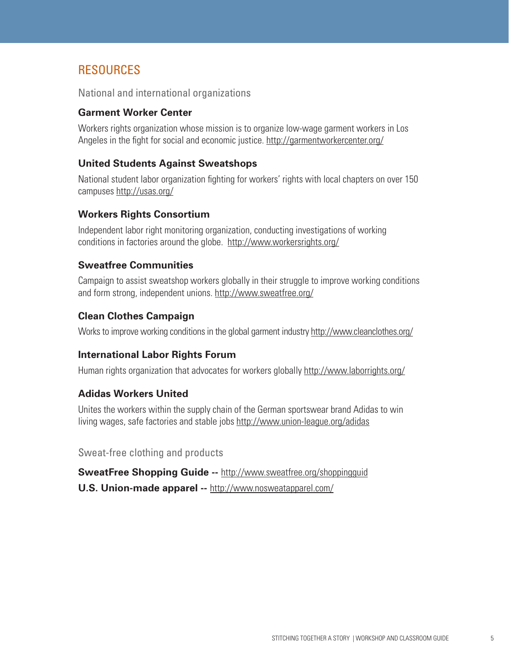### RESOURCES

National and international organizations

#### **Garment Worker Center**

Workers rights organization whose mission is to organize low-wage garment workers in Los Angeles in the fight for social and economic justice. http://garmentworkercenter.org/

#### **United Students Against Sweatshops**

National student labor organization fighting for workers' rights with local chapters on over 150 campuses http://usas.org/

#### **Workers Rights Consortium**

Independent labor right monitoring organization, conducting investigations of working conditions in factories around the globe. http://www.workersrights.org/

#### **Sweatfree Communities**

Campaign to assist sweatshop workers globally in their struggle to improve working conditions and form strong, independent unions. http://www.sweatfree.org/

#### **Clean Clothes Campaign**

Works to improve working conditions in the global garment industry http://www.cleanclothes.org/

#### **International Labor Rights Forum**

Human rights organization that advocates for workers globally http://www.laborrights.org/

#### **Adidas Workers United**

Unites the workers within the supply chain of the German sportswear brand Adidas to win living wages, safe factories and stable jobs http://www.union-league.org/adidas

Sweat-free clothing and products

**SweatFree Shopping Guide --** http://www.sweatfree.org/shoppingguid **U.S. Union-made apparel --** http://www.nosweatapparel.com/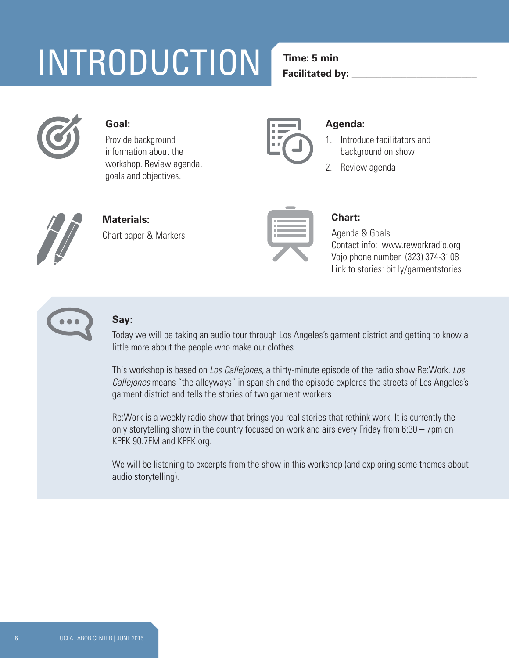# **5 min** INTRODUCTION

## **Time: 5 min**

**Facilitated by:** 



#### **Goal:**

Provide background information about the workshop. Review agenda, goals and objectives.



#### **Agenda:**

- 1. Introduce facilitators and background on show
- 2. Review agenda



**Materials:** Chart paper & Markers



#### **Chart:**

Agenda & Goals Contact info: www.reworkradio.org Vojo phone number (323) 374-3108 Link to stories: bit.ly/garmentstories



## **Say:**

Today we will be taking an audio tour through Los Angeles's garment district and getting to know a little more about the people who make our clothes.

This workshop is based on *Los Callejones,* a thirty-minute episode of the radio show Re:Work. *Los Callejones* means "the alleyways" in spanish and the episode explores the streets of Los Angeles's garment district and tells the stories of two garment workers.

Re:Work is a weekly radio show that brings you real stories that rethink work. It is currently the only storytelling show in the country focused on work and airs every Friday from 6:30 – 7pm on KPFK 90.7FM and KPFK.org.

We will be listening to excerpts from the show in this workshop (and exploring some themes about audio storytelling).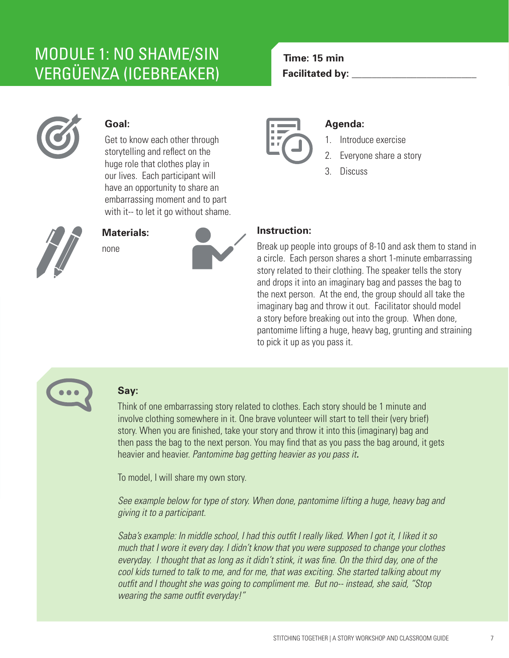## MODULE 1: NO SHAME/SIN MODULE 1: NO SHAME/SIN VERGUENZA (ICEBREAKER) VERGÜENZA

### **Time: 15 min Time: 15 min Facilitated by: \_\_\_\_\_\_\_\_\_\_\_\_\_\_\_\_\_\_\_\_\_\_\_\_\_ Facilitated by: \_\_\_\_\_\_\_\_\_\_\_\_\_\_\_\_\_\_\_\_\_\_\_\_\_**



#### **Goal:**

Get to know each other through storytelling and reflect on the huge role that clothes play in our lives. Each participant will have an opportunity to share an embarrassing moment and to part with it-- to let it go without shame.



#### **Materials:**





#### **Agenda:**

- 1. Introduce exercise
- 2. Everyone share a story
- 3. Discuss

#### **Instruction:**

Break up people into groups of 8-10 and ask them to stand in a circle. Each person shares a short 1-minute embarrassing story related to their clothing. The speaker tells the story and drops it into an imaginary bag and passes the bag to the next person. At the end, the group should all take the imaginary bag and throw it out. Facilitator should model a story before breaking out into the group. When done, pantomime lifting a huge, heavy bag, grunting and straining to pick it up as you pass it.



### **Say:**

Think of one embarrassing story related to clothes. Each story should be 1 minute and involve clothing somewhere in it. One brave volunteer will start to tell their (very brief) story. When you are finished, take your story and throw it into this (imaginary) bag and then pass the bag to the next person. You may find that as you pass the bag around, it gets heavier and heavier. *Pantomime bag getting heavier as you pass it.*

To model, I will share my own story.

*See example below for type of story. When done, pantomime lifting a huge, heavy bag and giving it to a participant.*

*Saba's example: In middle school, I had this outfit I really liked. When I got it, I liked it so much that I wore it every day. I didn't know that you were supposed to change your clothes everyday. I thought that as long as it didn't stink, it was fine. On the third day, one of the cool kids turned to talk to me, and for me, that was exciting. She started talking about my outfit and I thought she was going to compliment me. But no-- instead, she said, "Stop wearing the same outfit everyday!"*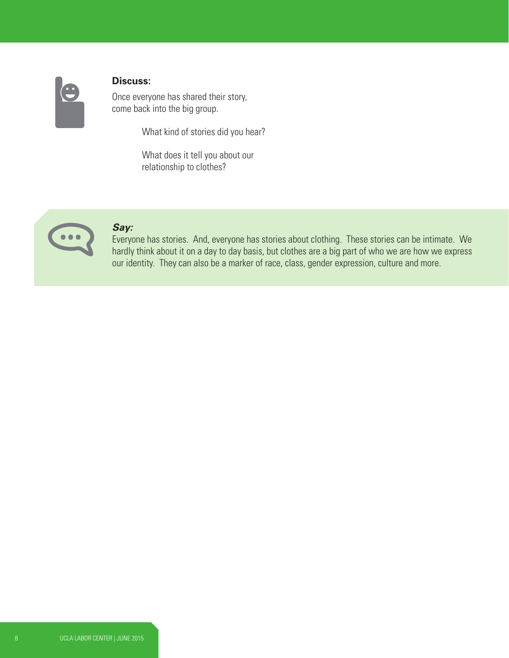

#### **Discuss:**

Once everyone has shared their story, come back into the big group.

What kind of stories did you hear?

What does it tell you about our relationship to clothes?



#### *Say:*

Everyone has stories. And, everyone has stories about clothing. These stories can be intimate. We hardly think about it on a day to day basis, but clothes are a big part of who we are how we express our identity. They can also be a marker of race, class, gender expression, culture and more.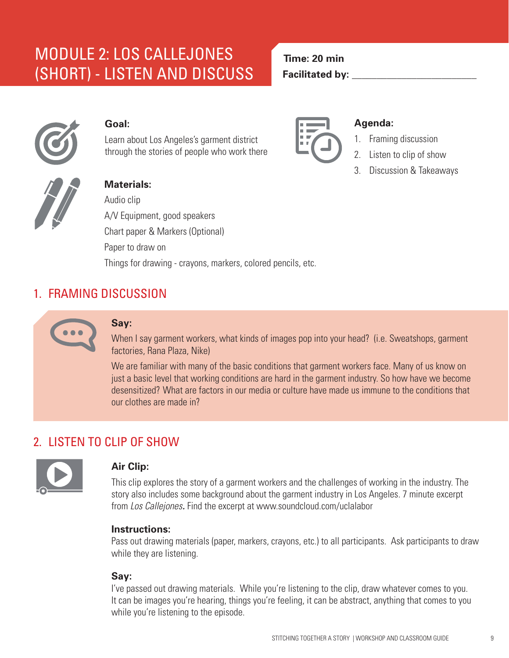## MODULE 2: LOS CALLEJONES (SHORT) - LISTEN AND DISCUSS



#### **Goal:**

Learn about Los Angeles's garment district through the stories of people who work there



#### **Agenda:**

- 1. Framing discussion
- 2. Listen to clip of show
- 3. Discussion & Takeaways



#### **Materials:**

Audio clip A/V Equipment, good speakers Chart paper & Markers (Optional) Paper to draw on Things for drawing - crayons, markers, colored pencils, etc.

## 1. FRAMING DISCUSSION



#### **Say:**

When I say garment workers, what kinds of images pop into your head? (i.e. Sweatshops, garment factories, Rana Plaza, Nike)

We are familiar with many of the basic conditions that garment workers face. Many of us know on just a basic level that working conditions are hard in the garment industry. So how have we become desensitized? What are factors in our media or culture have made us immune to the conditions that our clothes are made in?

## 2. LISTEN TO CLIP OF SHOW



#### **Air Clip:**

This clip explores the story of a garment workers and the challenges of working in the industry. The story also includes some background about the garment industry in Los Angeles. 7 minute excerpt from *Los Callejones.* Find the excerpt at www.soundcloud.com/uclalabor

#### **Instructions:**

Pass out drawing materials (paper, markers, crayons, etc.) to all participants. Ask participants to draw while they are listening.

#### **Say:**

I've passed out drawing materials. While you're listening to the clip, draw whatever comes to you. It can be images you're hearing, things you're feeling, it can be abstract, anything that comes to you while you're listening to the episode.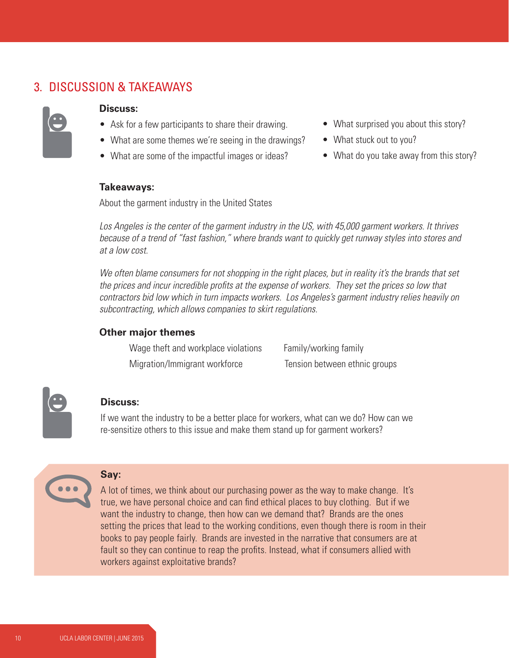#### 3. DISCUSSION & TAKEAWAYS



#### **Discuss:**

- Ask for a few participants to share their drawing.
- What are some themes we're seeing in the drawings?
- What are some of the impactful images or ideas?
- What surprised you about this story?
- What stuck out to you?
- What do you take away from this story?

#### **Takeaways:**

About the garment industry in the United States

*Los Angeles is the center of the garment industry in the US, with 45,000 garment workers. It thrives because of a trend of "fast fashion," where brands want to quickly get runway styles into stores and at a low cost.*

*We often blame consumers for not shopping in the right places, but in reality it's the brands that set the prices and incur incredible profits at the expense of workers. They set the prices so low that contractors bid low which in turn impacts workers. Los Angeles's garment industry relies heavily on subcontracting, which allows companies to skirt regulations.* 

#### **Other major themes**

Wage theft and workplace violations Family/working family Migration/Immigrant workforce Tension between ethnic groups



#### **Discuss:**

If we want the industry to be a better place for workers, what can we do? How can we re-sensitize others to this issue and make them stand up for garment workers?



**Say:** 

A lot of times, we think about our purchasing power as the way to make change. It's true, we have personal choice and can find ethical places to buy clothing. But if we want the industry to change, then how can we demand that? Brands are the ones setting the prices that lead to the working conditions, even though there is room in their books to pay people fairly. Brands are invested in the narrative that consumers are at fault so they can continue to reap the profits. Instead, what if consumers allied with workers against exploitative brands?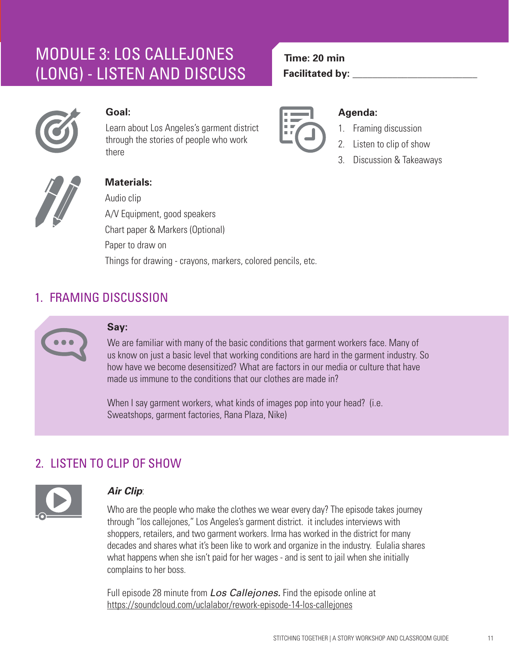## MODULE 3: LOS CALLEJONES (LONG) - LISTEN AND DISCUSS



#### **Goal:**

Learn about Los Angeles's garment district through the stories of people who work there



**Time: 20 min** 

**Facilitated by:** 

#### **Agenda:**

- 1. Framing discussion
- 2. Listen to clip of show
- 3. Discussion & Takeaways



#### **Materials:**

Audio clip A/V Equipment, good speakers Chart paper & Markers (Optional) Paper to draw on Things for drawing - crayons, markers, colored pencils, etc.

## 1. FRAMING DISCUSSION



#### **Say:**

We are familiar with many of the basic conditions that garment workers face. Many of us know on just a basic level that working conditions are hard in the garment industry. So how have we become desensitized? What are factors in our media or culture that have made us immune to the conditions that our clothes are made in?

When I say garment workers, what kinds of images pop into your head? (i.e. Sweatshops, garment factories, Rana Plaza, Nike)

## 2. LISTEN TO CLIP OF SHOW



#### *Air Clip*:

Who are the people who make the clothes we wear every day? The episode takes journey through "los callejones," Los Angeles's garment district. it includes interviews with shoppers, retailers, and two garment workers. Irma has worked in the district for many decades and shares what it's been like to work and organize in the industry. Eulalia shares what happens when she isn't paid for her wages - and is sent to jail when she initially complains to her boss.

Full episode 28 minute from *Los Callejones.* Find the episode online at https://soundcloud.com/uclalabor/rework-episode-14-los-callejones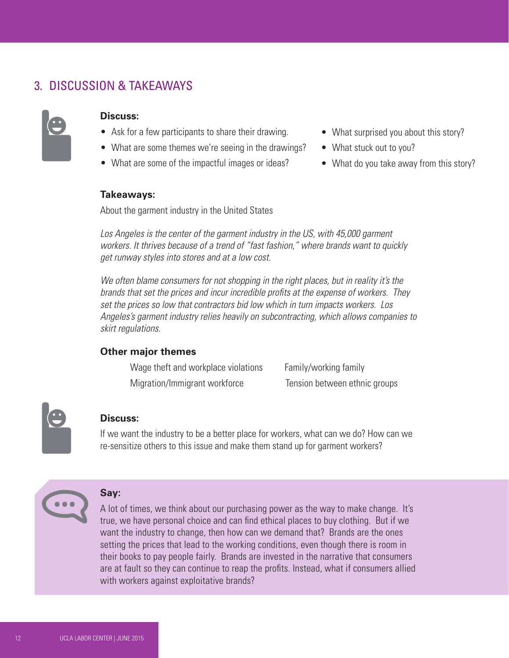### 3. DISCUSSION & TAKEAWAYS



#### **Discuss:**

- Ask for a few participants to share their drawing.
- What are some themes we're seeing in the drawings?
- What are some of the impactful images or ideas?

#### • What surprised you about this story?

- What stuck out to you?
- What do you take away from this story?

#### **Takeaways:**

About the garment industry in the United States

Los Angeles is the center of the garment industry in the US, with 45,000 garment *workers. It thrives because of a trend of "fast fashion," where brands want to quickly get runway styles into stores and at a low cost.*

*We often blame consumers for not shopping in the right places, but in reality it's the brands that set the prices and incur incredible profits at the expense of workers. They set the prices so low that contractors bid low which in turn impacts workers. Los Angeles's garment industry relies heavily on subcontracting, which allows companies to skirt regulations.* 

#### **Other major themes**

| Wage theft and workplace violations | Family/working family         |
|-------------------------------------|-------------------------------|
| Migration/Immigrant workforce       | Tension between ethnic groups |

#### **Discuss:**

If we want the industry to be a better place for workers, what can we do? How can we re-sensitize others to this issue and make them stand up for garment workers?



#### **Say:**

A lot of times, we think about our purchasing power as the way to make change. It's true, we have personal choice and can find ethical places to buy clothing. But if we want the industry to change, then how can we demand that? Brands are the ones setting the prices that lead to the working conditions, even though there is room in their books to pay people fairly. Brands are invested in the narrative that consumers are at fault so they can continue to reap the profits. Instead, what if consumers allied with workers against exploitative brands?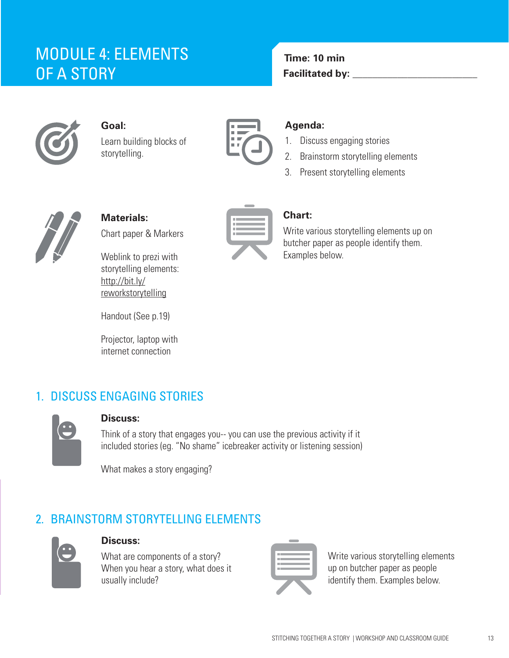## MODULE 4: ELEMENTS OF A STORY



**Goal:**  Learn building blocks of storytelling.



**Time: 10 min Facilitated by:** 

#### **Agenda:**

- 1. Discuss engaging stories
- 2. Brainstorm storytelling elements
- 3. Present storytelling elements



**Materials:** Chart paper & Markers

Weblink to prezi with storytelling elements: http://bit.ly/ reworkstorytelling

Handout (See p.19)

Projector, laptop with internet connection

#### **Chart:**

Write various storytelling elements up on butcher paper as people identify them. Examples below.

## 1. DISCUSS ENGAGING STORIES



#### **Discuss:**

Think of a story that engages you-- you can use the previous activity if it included stories (eg. "No shame" icebreaker activity or listening session)

What makes a story engaging?

## 2. BRAINSTORM STORYTELLING ELEMENTS



#### **Discuss:**

What are components of a story? When you hear a story, what does it usually include?



Write various storytelling elements up on butcher paper as people identify them. Examples below.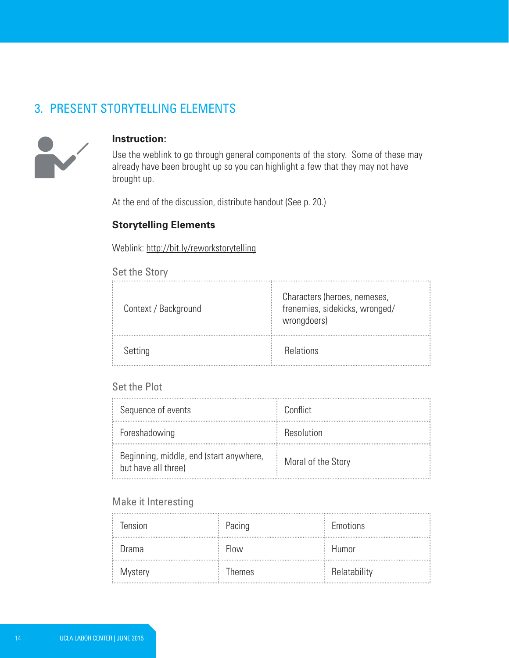#### 3. PRESENT STORYTELLING ELEMENTS



#### **Instruction:**

Use the weblink to go through general components of the story. Some of these may already have been brought up so you can highlight a few that they may not have brought up.

At the end of the discussion, distribute handout (See p. 20.)

#### **Storytelling Elements**

Weblink: http://bit.ly/reworkstorytelling

#### Set the Story

| Context / Background | Characters (heroes, nemeses,<br>frenemies, sidekicks, wronged/<br>wrongdoers) |
|----------------------|-------------------------------------------------------------------------------|
| Setting              | <b>Relations</b>                                                              |

#### Set the Plot

| Sequence of events                                             | Conflict           |
|----------------------------------------------------------------|--------------------|
| Foreshadowing                                                  | Resolution         |
| Beginning, middle, end (start anywhere,<br>but have all three) | Moral of the Story |

#### Make it Interesting

| Tension | Pacing        | Emotions     |
|---------|---------------|--------------|
| Drama   | Flow          | Humor        |
| Mystery | <b>Themes</b> | Relatability |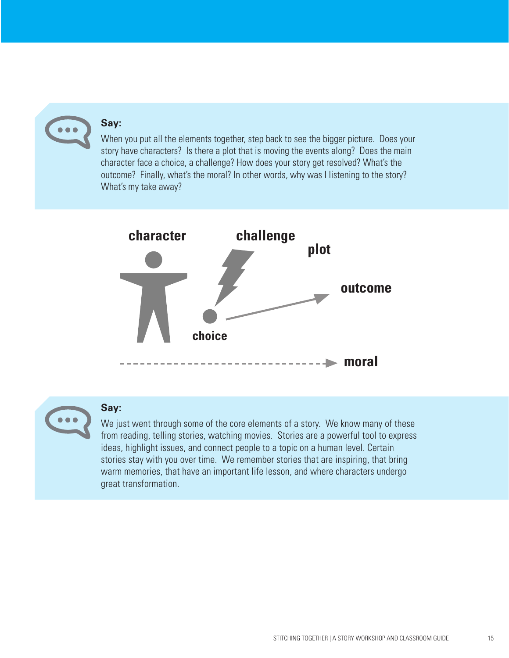#### **Say:**

When you put all the elements together, step back to see the bigger picture. Does your story have characters? Is there a plot that is moving the events along? Does the main character face a choice, a challenge? How does your story get resolved? What's the outcome? Finally, what's the moral? In other words, why was I listening to the story? What's my take away?



#### **Say:**

We just went through some of the core elements of a story. We know many of these from reading, telling stories, watching movies. Stories are a powerful tool to express ideas, highlight issues, and connect people to a topic on a human level. Certain stories stay with you over time. We remember stories that are inspiring, that bring warm memories, that have an important life lesson, and where characters undergo great transformation.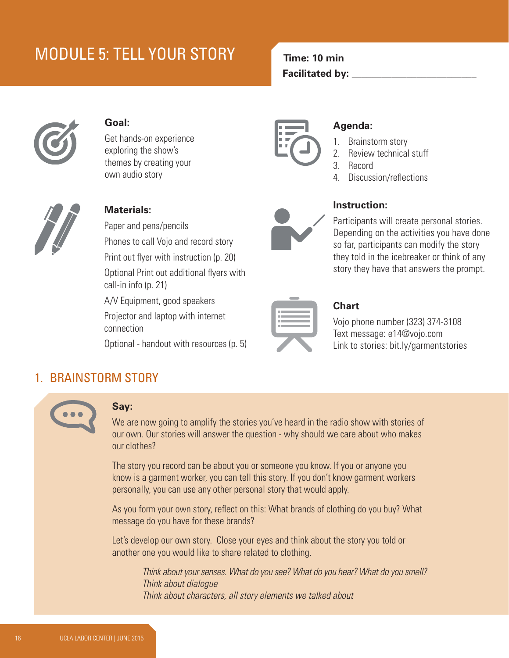## MODULE 5: TELL YOUR STORY



#### **Goal:**

Get hands-on experience exploring the show's themes by creating your own audio story



#### **Materials:**

Paper and pens/pencils

Phones to call Vojo and record story

Print out flyer with instruction (p. 20)

Optional Print out additional flyers with call-in info (p. 21)

A/V Equipment, good speakers

Projector and laptop with internet connection

Optional - handout with resources (p. 5)



**Time: 10 min** 

**Facilitated by:** 

#### **Agenda:**

- 1. Brainstorm story
- 2. Review technical stuff
- 3. Record
- 4. Discussion/reflections



#### **Instruction:**

Participants will create personal stories. Depending on the activities you have done so far, participants can modify the story they told in the icebreaker or think of any story they have that answers the prompt.



#### **Chart**

Vojo phone number (323) 374-3108 Text message: e14@vojo.com Link to stories: bit.ly/garmentstories

#### 1. BRAINSTORM STORY



#### **Say:**

We are now going to amplify the stories you've heard in the radio show with stories of our own. Our stories will answer the question - why should we care about who makes our clothes?

The story you record can be about you or someone you know. If you or anyone you know is a garment worker, you can tell this story. If you don't know garment workers personally, you can use any other personal story that would apply.

As you form your own story, reflect on this: What brands of clothing do you buy? What message do you have for these brands?

Let's develop our own story. Close your eyes and think about the story you told or another one you would like to share related to clothing.

> *Think about your senses. What do you see? What do you hear? What do you smell? Think about dialogue Think about characters, all story elements we talked about*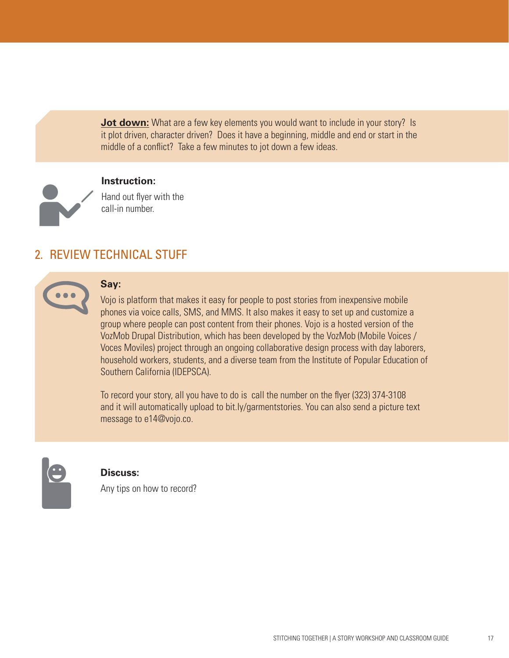**Jot down:** What are a few key elements you would want to include in your story? Is it plot driven, character driven? Does it have a beginning, middle and end or start in the middle of a conflict? Take a few minutes to jot down a few ideas.



#### **Instruction:**

Hand out flyer with the call-in number.

#### 2. REVIEW TECHNICAL STUFF



#### **Say:**

Vojo is platform that makes it easy for people to post stories from inexpensive mobile phones via voice calls, SMS, and MMS. It also makes it easy to set up and customize a group where people can post content from their phones. Vojo is a hosted version of the VozMob Drupal Distribution, which has been developed by the VozMob (Mobile Voices / Voces Moviles) project through an ongoing collaborative design process with day laborers, household workers, students, and a diverse team from the Institute of Popular Education of Southern California (IDEPSCA).

To record your story, all you have to do is call the number on the flyer (323) 374-3108 and it will automatically upload to bit.ly/garmentstories. You can also send a picture text message to e14@vojo.co.



#### **Discuss:**

Any tips on how to record?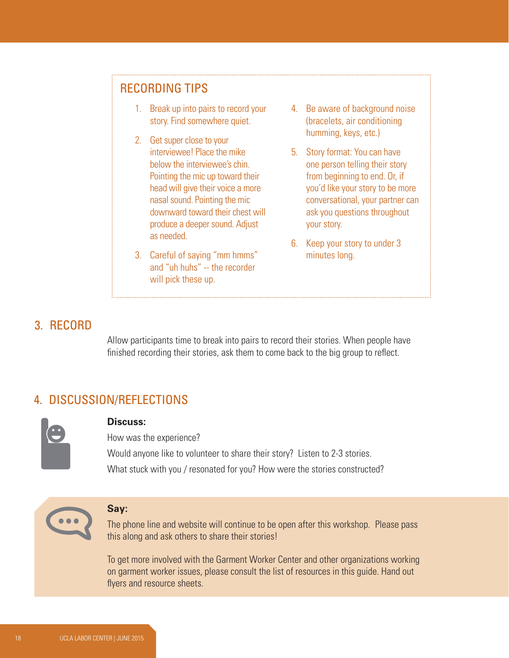#### RECORDING TIPS

- 1. Break up into pairs to record your story. Find somewhere quiet.
- 2. Get super close to your interviewee! Place the mike below the interviewee's chin. Pointing the mic up toward their head will give their voice a more nasal sound. Pointing the mic downward toward their chest will produce a deeper sound. Adjust as needed.
- 3. Careful of saying "mm hmms" and "uh huhs" -- the recorder will pick these up.
- 4. Be aware of background noise (bracelets, air conditioning humming, keys, etc.)
- 5. Story format: You can have one person telling their story from beginning to end. Or, if you'd like your story to be more conversational, your partner can ask you questions throughout your story.
- 6. Keep your story to under 3 minutes long.

#### 3. RECORD

Allow participants time to break into pairs to record their stories. When people have finished recording their stories, ask them to come back to the big group to reflect.

## 4. DISCUSSION/REFLECTIONS



#### **Discuss:**

How was the experience? Would anyone like to volunteer to share their story? Listen to 2-3 stories. What stuck with you / resonated for you? How were the stories constructed?



#### **Say:**

The phone line and website will continue to be open after this workshop. Please pass this along and ask others to share their stories!

To get more involved with the Garment Worker Center and other organizations working on garment worker issues, please consult the list of resources in this guide. Hand out flyers and resource sheets.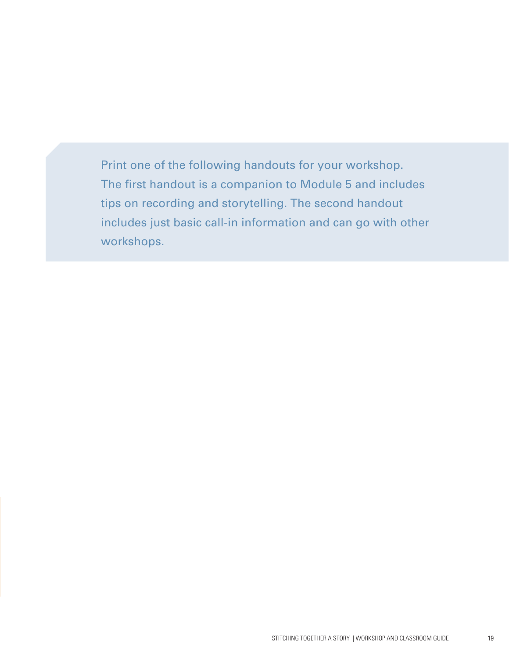Print one of the following handouts for your workshop. The first handout is a companion to Module 5 and includes tips on recording and storytelling. The second handout includes just basic call-in information and can go with other workshops.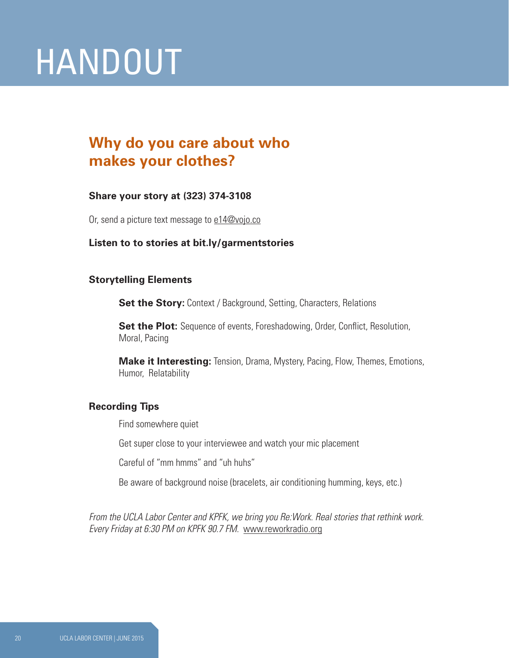## HANDOUT

## **Why do you care about who makes your clothes?**

#### **Share your story at (323) 374-3108**

Or, send a picture text message to e14@vojo.co

#### **Listen to to stories at bit.ly/garmentstories**

#### **Storytelling Elements**

**Set the Story:** Context / Background, Setting, Characters, Relations

**Set the Plot:** Sequence of events, Foreshadowing, Order, Conflict, Resolution, Moral, Pacing

**Make it Interesting:** Tension, Drama, Mystery, Pacing, Flow, Themes, Emotions, Humor, Relatability

#### **Recording Tips**

Find somewhere quiet

Get super close to your interviewee and watch your mic placement

Careful of "mm hmms" and "uh huhs"

Be aware of background noise (bracelets, air conditioning humming, keys, etc.)

*From the UCLA Labor Center and KPFK, we bring you Re:Work. Real stories that rethink work. Every Friday at 6:30 PM on KPFK 90.7 FM.* www.reworkradio.org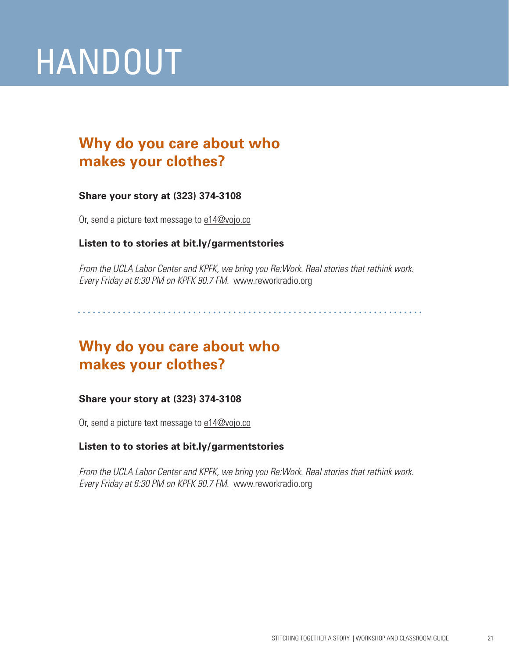# HANDOUT

## **Why do you care about who makes your clothes?**

#### **Share your story at (323) 374-3108**

Or, send a picture text message to e14@vojo.co

#### **Listen to to stories at bit.ly/garmentstories**

*From the UCLA Labor Center and KPFK, we bring you Re:Work. Real stories that rethink work. Every Friday at 6:30 PM on KPFK 90.7 FM.* www.reworkradio.org

## **Why do you care about who makes your clothes?**

#### **Share your story at (323) 374-3108**

Or, send a picture text message to e14@vojo.co

#### **Listen to to stories at bit.ly/garmentstories**

*From the UCLA Labor Center and KPFK, we bring you Re:Work. Real stories that rethink work. Every Friday at 6:30 PM on KPFK 90.7 FM.* www.reworkradio.org